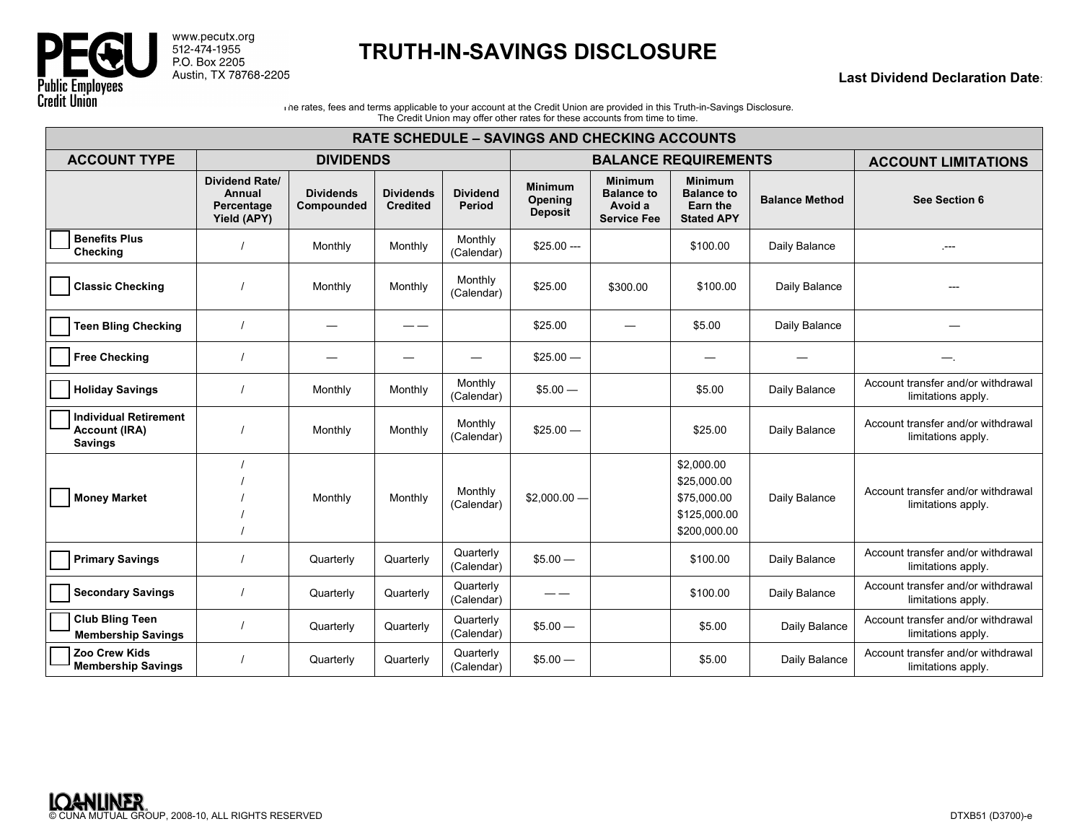

www.pecutx.org<br>512-474-1955<br>P.O. Box 2205 Austin, TX 78768-2205

## **TRUTH-IN-SAVINGS DISCLOSURE**

## **Last Dividend Declaration Date**:

Ine rates, fees and terms applicable to your account at the Credit Union are provided in this Truth-in-Savings Disclosure. The Credit Union may offer other rates for these accounts from time to time.

| <b>RATE SCHEDULE – SAVINGS AND CHECKING ACCOUNTS</b>                   |                                                              |                                |                                     |                                  |                                             |                                                                      |                                                                          |                            |                                                          |
|------------------------------------------------------------------------|--------------------------------------------------------------|--------------------------------|-------------------------------------|----------------------------------|---------------------------------------------|----------------------------------------------------------------------|--------------------------------------------------------------------------|----------------------------|----------------------------------------------------------|
| <b>ACCOUNT TYPE</b>                                                    | <b>DIVIDENDS</b>                                             |                                |                                     | <b>BALANCE REQUIREMENTS</b>      |                                             |                                                                      |                                                                          | <b>ACCOUNT LIMITATIONS</b> |                                                          |
|                                                                        | <b>Dividend Rate/</b><br>Annual<br>Percentage<br>Yield (APY) | <b>Dividends</b><br>Compounded | <b>Dividends</b><br><b>Credited</b> | <b>Dividend</b><br><b>Period</b> | <b>Minimum</b><br>Opening<br><b>Deposit</b> | <b>Minimum</b><br><b>Balance to</b><br>Avoid a<br><b>Service Fee</b> | <b>Minimum</b><br><b>Balance to</b><br>Earn the<br><b>Stated APY</b>     | <b>Balance Method</b>      | See Section 6                                            |
| <b>Benefits Plus</b><br>Checking                                       |                                                              | Monthly                        | Monthly                             | Monthly<br>(Calendar)            | $$25.00 --$                                 |                                                                      | \$100.00                                                                 | Daily Balance              | $- - -$                                                  |
| <b>Classic Checking</b>                                                |                                                              | Monthly                        | Monthly                             | Monthly<br>(Calendar)            | \$25.00                                     | \$300.00                                                             | \$100.00                                                                 | Daily Balance              |                                                          |
| <b>Teen Bling Checking</b>                                             |                                                              | $\overline{\phantom{0}}$       | ——                                  |                                  | \$25.00                                     |                                                                      | \$5.00                                                                   | Daily Balance              |                                                          |
| <b>Free Checking</b>                                                   |                                                              |                                |                                     |                                  | $$25.00 -$                                  |                                                                      |                                                                          |                            |                                                          |
| <b>Holiday Savings</b>                                                 |                                                              | Monthly                        | Monthly                             | Monthly<br>(Calendar)            | $$5.00 -$                                   |                                                                      | \$5.00                                                                   | Daily Balance              | Account transfer and/or withdrawal<br>limitations apply. |
| <b>Individual Retirement</b><br><b>Account (IRA)</b><br><b>Savings</b> |                                                              | Monthly                        | Monthly                             | Monthly<br>(Calendar)            | $$25.00 -$                                  |                                                                      | \$25.00                                                                  | Daily Balance              | Account transfer and/or withdrawal<br>limitations apply. |
| <b>Money Market</b>                                                    |                                                              | Monthly                        | Monthly                             | Monthly<br>(Calendar)            | $$2,000.00-$                                |                                                                      | \$2,000.00<br>\$25,000.00<br>\$75,000.00<br>\$125,000.00<br>\$200,000.00 | Daily Balance              | Account transfer and/or withdrawal<br>limitations apply. |
| <b>Primary Savings</b>                                                 |                                                              | Quarterly                      | Quarterly                           | Quarterly<br>(Calendar)          | $$5.00 -$                                   |                                                                      | \$100.00                                                                 | Daily Balance              | Account transfer and/or withdrawal<br>limitations apply. |
| <b>Secondary Savings</b>                                               |                                                              | Quarterly                      | Quarterly                           | Quarterly<br>(Calendar)          |                                             |                                                                      | \$100.00                                                                 | Daily Balance              | Account transfer and/or withdrawal<br>limitations apply. |
| <b>Club Bling Teen</b><br><b>Membership Savings</b>                    |                                                              | Quarterly                      | Quarterly                           | Quarterly<br>(Calendar)          | $$5.00 -$                                   |                                                                      | \$5.00                                                                   | Daily Balance              | Account transfer and/or withdrawal<br>limitations apply. |
| Zoo Crew Kids<br><b>Membership Savings</b>                             |                                                              | Quarterly                      | Quarterly                           | Quarterly<br>(Calendar)          | $$5.00 -$                                   |                                                                      | \$5.00                                                                   | Daily Balance              | Account transfer and/or withdrawal<br>limitations apply. |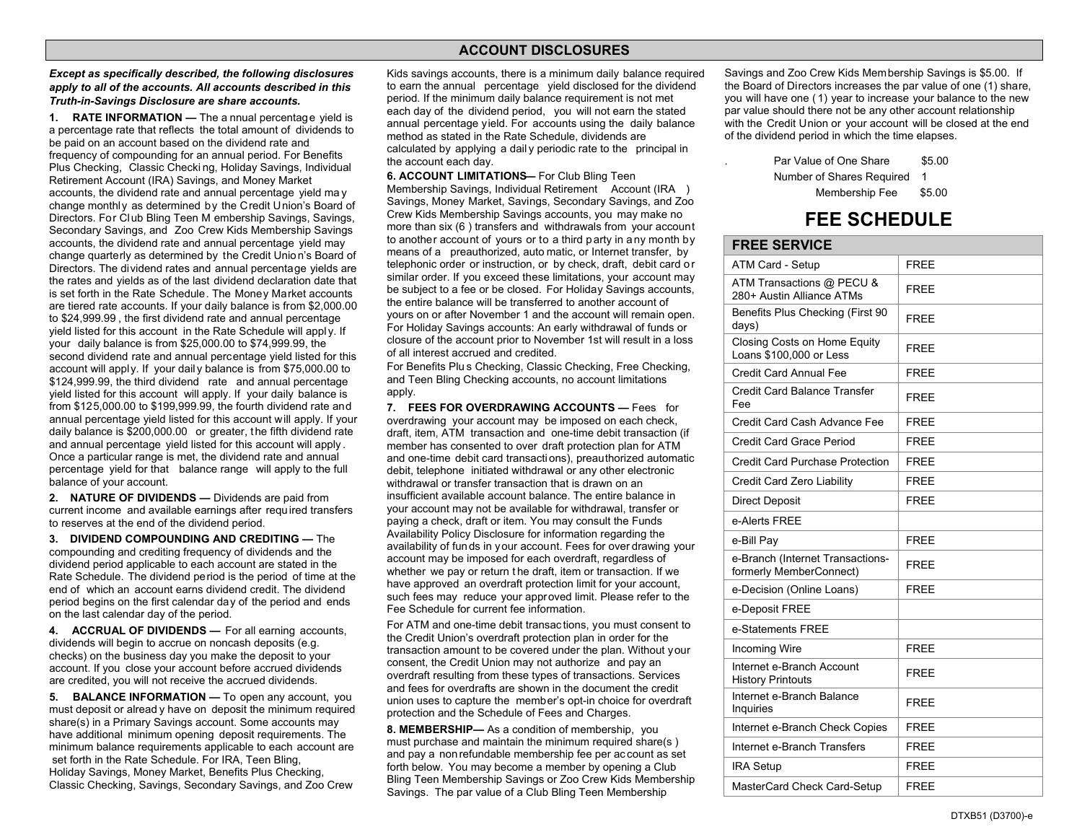## **ACCOUNT DISCLOSURES**

*Except as specifically described, the following disclosures apply to all of the accounts. All accounts described in this Truth-in-Savings Disclosure are share accounts.* 

**1. RATE INFORMATION —** The a nnual percentage yield is a percentage rate that reflects the total amount of dividends to be paid on an account based on the dividend rate and frequency of co <sup>m</sup>pounding for an annual period. For Benefits Plus Checking, Classic Checki ng, Holiday Savings, Individual Retirement Account (IRA) Savings, and Money Market accounts, the dividend rate and annual percentage yield ma y change monthly as determined by the Credit Union's Board of Directors. For Club Bling Teen M embership Savings, Savings, Secondary Savings, and Zoo Crew Kids Membership Savings accounts, the dividend rate and annual percentage yield may change quarterly as determined by the Credit Union's Board of Directors. The dividend rates and annual percentage yields are the rates and yields as of the last dividend declaration date that is set forth in the Rate Schedule. The Money Market accounts are tiered rate accounts. If your daily balance is from \$2,000.00 to \$24,999.99 , the first dividend rate and annual percentage yield listed for this account in the Rate Schedule will appl y. If your daily balance is from \$25,000.00 to \$74,999.99, the second dividend rate and annual percentage yield listed for this account will apply. If your daily balance is from \$75,000.00 to \$124,999.99, the third dividend rate and annual percentage yield listed for this account will apply. If your daily balance is from \$125,000.00 to \$199,999.99, the fourth dividend rate and annual percentage yield listed for this account will apply. If your daily balance is \$200,000.00 or greater, the fifth dividend rate and annual percentage yield listed for this account <sup>w</sup>ill apply . Once a particular range is met, the dividend rate and annual percentage yield for that balance range will apply to the full balance of your account.

**2. NATURE OF DIVIDENDS —** Dividends are paid from current income and available earnings after required transfer<sup>s</sup> to reserves at the end of the dividend period.

**3. DIVIDEND COMPOUNDING AND CREDITING —** The compounding and crediting frequency of dividends and the dividend period applicable to each account are stated in the Rate Schedule. The dividend period is the period of time at th<sup>e</sup> end of which an account earns dividend credit. The dividend period begins on the first calendar day of the period and ends on the last calendar day of the period.

**4. ACCRUAL OF DIVIDENDS —** For all earning accounts, dividends will begin to accrue on noncash deposits (e.g. checks) on the business day you make the deposit to your account. If you close your account befor<sup>e</sup> <sup>a</sup>ccrued dividends are credited, you will not receive the accrued dividends.

**5. BALANCE INFORMATION —** To open any account, you must deposit or alread y have on deposit the minimum required share(s) in a Primary Savings account. Some accounts may have additional minimum opening deposit requirements. The minimum balance requirements applicable to each account are set forth in the Rate Schedule. For IRA, Teen Bling, Holiday Savings, Money Market, Benefits Plus Checking, Classic Checking, Savings, Secondary Savings, and Zoo Crew

Kids savings accounts, there is a minimum daily balance required to earn the annual percentage yield disclosed for the dividend period. If the minimum daily balance requirement is not met each day of the dividend period, you will not earn the stated annual percentage yield. For accounts using the daily balance method as stated in the Rate Schedule, dividends are calculated by <sup>a</sup>pplying a dail y periodic rate to the principal in the account each day.

**6. ACCOUNT LIMITATIONS—** For Club Bling Teen Membership Savings, Individual Retirement Account (IRA ) Savings, Money Market, Savings, Secondary Savings, and Zoo Crew Kids Membership Savings accounts, you may make no more than six (6 ) transfers and withdrawals from your account to another account of yours or to a third p arty in a ny month by means of a preauthorized, auto matic, or Internet transfer, by telephonic order or instruction, or by check, draft, debit card or similar order. If you exceed these limitations, your account may be subject to a fee or be closed. For Holiday Savings accounts, the entire balance will be transferred to another account of yours on or after November 1 and the account will remain open. For Holiday Savings accounts: An early withdrawal of funds or closure of the account prior to November 1st will result in a loss of all interest accrued and credited.

For Benefits Plu s Checking, Classic Checking, Free Checking, and Teen Bling Checking accounts, no account limitations apply.

**7. FEES FOR OVERDRAWING ACCOUNTS —** Fees for overdrawing your account may be imposed on each check, draft, item, ATM transaction and one-time debit transaction (if member has consented to over draft protection plan for AT M and one-time debit card transactions), preauthorized automatic debit, telephone initiated withdrawal or any other electronic withdrawal or transfer transaction that is drawn on an insufficient available account balance. The entire balance in your account may not be available for withdrawal, transfer or paying a check, draft or item. You may consult the Funds Availability Policy Disclosure for information regarding the availability of funds in your account. Fees for over drawing your account may be imposed for each overdraft, regardless of whether we pay or return the draft, item or transaction. If we have approved <sup>a</sup>n overdraft protection limit for your account, such fees may reduce your approved limit. Please refer to th<sup>e</sup> Fee Schedule for current fee information.

For ATM and one-time debit transac tions, you must consent to the Credit Union's overdraft protection plan in order for the transaction amount to be covered under the plan. Without your consent, the Credit Union may not authorize and pay an overdraft resulting from these types of transactions. Services and fees for overdrafts are shown in the document the credit union uses to capture the <sup>m</sup>ember's opt-in choice for overdraft protection and the Schedule of Fees and Charges.

**8. MEMBERSHIP —** As a condition of me<sup>m</sup>bership, you must purchase and maintain the minimum required share(s ) and pay<sup>a</sup> non refundable membership fee per ac count as set forth belo<sup>w</sup>. You may become a member by opening a Club Bling Teen Membership Savings or Zoo Crew Kids Membership Savings. The par value of a Club Bling Teen Membership

Savings and Zoo Cre <sup>w</sup> Kids Membership Savings is \$5.00. If the Board of Directors increases the par value of one (1) share, you will have one ( 1) year to increase your balance to the new par value should there not be any other account relationship with the Credit Union or your account will be closed at the end of the dividend period in which the time elapses.

> Par Value of One Share \$5.00 Number of Shares Required 1 Membership Fee \$5.00

## **FEE SCHEDULE**

| <b>FREE SERVICE</b>                                         |             |
|-------------------------------------------------------------|-------------|
| ATM Card - Setup                                            | <b>FREE</b> |
| ATM Transactions @ PECU &<br>280+ Austin Alliance ATMs      | <b>FREE</b> |
| Benefits Plus Checking (First 90<br>days)                   | <b>FREE</b> |
| Closing Costs on Home Equity<br>Loans \$100,000 or Less     | FRFF        |
| Credit Card Annual Fee                                      | <b>FREE</b> |
| Credit Card Balance Transfer<br>Fee                         | <b>FREE</b> |
| Credit Card Cash Advance Fee                                | <b>FREE</b> |
| Credit Card Grace Period                                    | <b>FREE</b> |
| Credit Card Purchase Protection                             | <b>FREE</b> |
| Credit Card Zero Liability                                  | <b>FREE</b> |
| <b>Direct Deposit</b>                                       | <b>FREE</b> |
| e-Alerts FREE                                               |             |
| e-Bill Pay                                                  | <b>FREE</b> |
| e-Branch (Internet Transactions-<br>formerly MemberConnect) | <b>FREE</b> |
| e-Decision (Online Loans)                                   | <b>FREE</b> |
| e-Deposit FREE                                              |             |
| e-Statements FREE                                           |             |
| <b>Incoming Wire</b>                                        | <b>FREE</b> |
| Internet e-Branch Account<br><b>History Printouts</b>       | <b>FREE</b> |
| Internet e-Branch Balance<br>Inquiries                      | <b>FREE</b> |
| Internet e-Branch Check Copies                              | <b>FREE</b> |
| Internet e-Branch Transfers                                 | <b>FREE</b> |
| <b>IRA Setup</b>                                            | <b>FREE</b> |
| MasterCard Check Card-Setup                                 | <b>FREE</b> |
|                                                             |             |